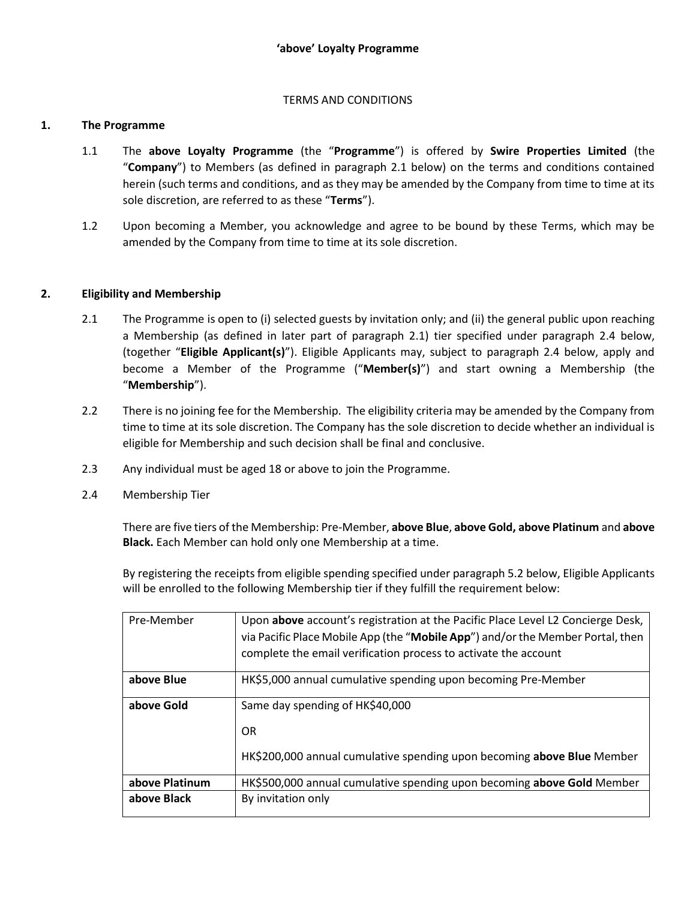## TERMS AND CONDITIONS

#### **1. The Programme**

- 1.1 The **above Loyalty Programme** (the "**Programme**") is offered by **Swire Properties Limited** (the "**Company**") to Members (as defined in paragraph 2.1 below) on the terms and conditions contained herein (such terms and conditions, and as they may be amended by the Company from time to time at its sole discretion, are referred to as these "**Terms**").
- 1.2 Upon becoming a Member, you acknowledge and agree to be bound by these Terms, which may be amended by the Company from time to time at its sole discretion.

## **2. Eligibility and Membership**

- 2.1 The Programme is open to (i) selected guests by invitation only; and (ii) the general public upon reaching a Membership (as defined in later part of paragraph 2.1) tier specified under paragraph 2.4 below, (together "**Eligible Applicant(s)**"). Eligible Applicants may, subject to paragraph 2.4 below, apply and become a Member of the Programme ("**Member(s)**") and start owning a Membership (the "**Membership**").
- 2.2 There is no joining fee for the Membership. The eligibility criteria may be amended by the Company from time to time at its sole discretion. The Company has the sole discretion to decide whether an individual is eligible for Membership and such decision shall be final and conclusive.
- 2.3 Any individual must be aged 18 or above to join the Programme.
- 2.4 Membership Tier

There are five tiers of the Membership: Pre-Member, **above Blue**, **above Gold, above Platinum** and **above Black.** Each Member can hold only one Membership at a time.

By registering the receipts from eligible spending specified under paragraph 5.2 below, Eligible Applicants will be enrolled to the following Membership tier if they fulfill the requirement below:

| Pre-Member     | Upon above account's registration at the Pacific Place Level L2 Concierge Desk, |
|----------------|---------------------------------------------------------------------------------|
|                | via Pacific Place Mobile App (the "Mobile App") and/or the Member Portal, then  |
|                | complete the email verification process to activate the account                 |
| above Blue     | HK\$5,000 annual cumulative spending upon becoming Pre-Member                   |
| above Gold     | Same day spending of HK\$40,000                                                 |
|                | 0R                                                                              |
|                | HK\$200,000 annual cumulative spending upon becoming above Blue Member          |
| above Platinum | HK\$500,000 annual cumulative spending upon becoming above Gold Member          |
| above Black    | By invitation only                                                              |
|                |                                                                                 |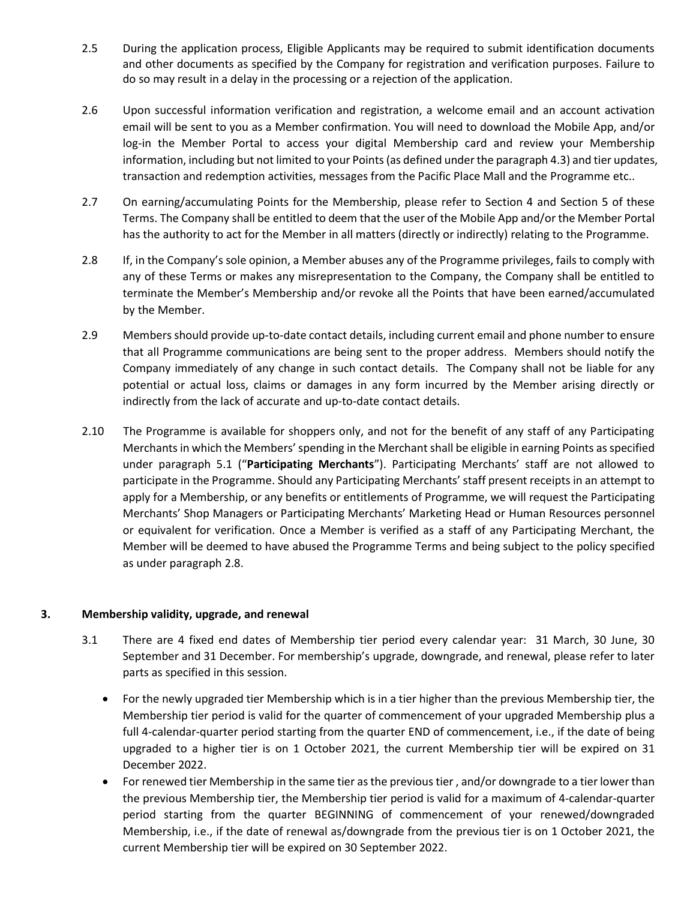- 2.5 During the application process, Eligible Applicants may be required to submit identification documents and other documents as specified by the Company for registration and verification purposes. Failure to do so may result in a delay in the processing or a rejection of the application.
- 2.6 Upon successful information verification and registration, a welcome email and an account activation email will be sent to you as a Member confirmation. You will need to download the Mobile App, and/or log-in the Member Portal to access your digital Membership card and review your Membership information, including but not limited to your Points(as defined under the paragraph 4.3) and tier updates, transaction and redemption activities, messages from the Pacific Place Mall and the Programme etc..
- 2.7 On earning/accumulating Points for the Membership, please refer to Section 4 and Section 5 of these Terms. The Company shall be entitled to deem that the user of the Mobile App and/or the Member Portal has the authority to act for the Member in all matters (directly or indirectly) relating to the Programme.
- 2.8 If, in the Company's sole opinion, a Member abuses any of the Programme privileges, fails to comply with any of these Terms or makes any misrepresentation to the Company, the Company shall be entitled to terminate the Member's Membership and/or revoke all the Points that have been earned/accumulated by the Member.
- 2.9 Members should provide up-to-date contact details, including current email and phone number to ensure that all Programme communications are being sent to the proper address. Members should notify the Company immediately of any change in such contact details. The Company shall not be liable for any potential or actual loss, claims or damages in any form incurred by the Member arising directly or indirectly from the lack of accurate and up-to-date contact details.
- 2.10 The Programme is available for shoppers only, and not for the benefit of any staff of any Participating Merchantsin which the Members' spending in the Merchant shall be eligible in earning Points as specified under paragraph 5.1 ("**Participating Merchants**"). Participating Merchants' staff are not allowed to participate in the Programme. Should any Participating Merchants' staff present receipts in an attempt to apply for a Membership, or any benefits or entitlements of Programme, we will request the Participating Merchants' Shop Managers or Participating Merchants' Marketing Head or Human Resources personnel or equivalent for verification. Once a Member is verified as a staff of any Participating Merchant, the Member will be deemed to have abused the Programme Terms and being subject to the policy specified as under paragraph 2.8.

#### **3. Membership validity, upgrade, and renewal**

- 3.1 There are 4 fixed end dates of Membership tier period every calendar year: 31 March, 30 June, 30 September and 31 December. For membership's upgrade, downgrade, and renewal, please refer to later parts as specified in this session.
	- For the newly upgraded tier Membership which is in a tier higher than the previous Membership tier, the Membership tier period is valid for the quarter of commencement of your upgraded Membership plus a full 4-calendar-quarter period starting from the quarter END of commencement, i.e., if the date of being upgraded to a higher tier is on 1 October 2021, the current Membership tier will be expired on 31 December 2022.
	- For renewed tier Membership in the same tier as the previous tier, and/or downgrade to a tier lower than the previous Membership tier, the Membership tier period is valid for a maximum of 4-calendar-quarter period starting from the quarter BEGINNING of commencement of your renewed/downgraded Membership, i.e., if the date of renewal as/downgrade from the previous tier is on 1 October 2021, the current Membership tier will be expired on 30 September 2022.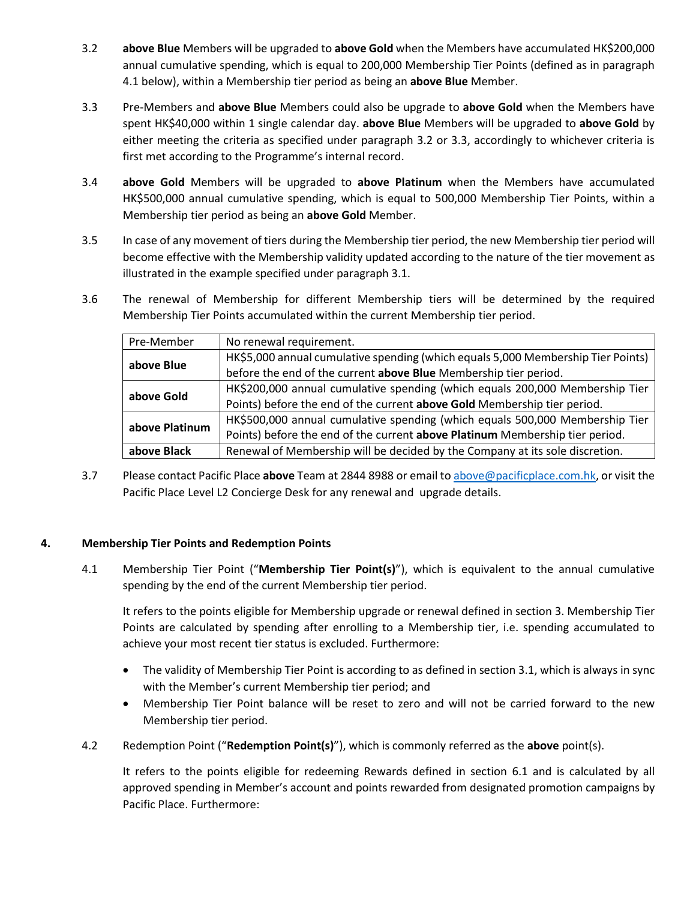- 3.2 **above Blue** Members will be upgraded to **above Gold** when the Members have accumulated HK\$200,000 annual cumulative spending, which is equal to 200,000 Membership Tier Points (defined as in paragraph 4.1 below), within a Membership tier period as being an **above Blue** Member.
- 3.3 Pre-Members and **above Blue** Members could also be upgrade to **above Gold** when the Members have spent HK\$40,000 within 1 single calendar day. **above Blue** Members will be upgraded to **above Gold** by either meeting the criteria as specified under paragraph 3.2 or 3.3, accordingly to whichever criteria is first met according to the Programme's internal record.
- 3.4 **above Gold** Members will be upgraded to **above Platinum** when the Members have accumulated HK\$500,000 annual cumulative spending, which is equal to 500,000 Membership Tier Points, within a Membership tier period as being an **above Gold** Member.
- 3.5 In case of any movement of tiers during the Membership tier period, the new Membership tier period will become effective with the Membership validity updated according to the nature of the tier movement as illustrated in the example specified under paragraph 3.1.
- 3.6 The renewal of Membership for different Membership tiers will be determined by the required Membership Tier Points accumulated within the current Membership tier period.

| Pre-Member     | No renewal requirement.                                                          |
|----------------|----------------------------------------------------------------------------------|
| above Blue     | HK\$5,000 annual cumulative spending (which equals 5,000 Membership Tier Points) |
|                | before the end of the current above Blue Membership tier period.                 |
| above Gold     | HK\$200,000 annual cumulative spending (which equals 200,000 Membership Tier     |
|                | Points) before the end of the current above Gold Membership tier period.         |
| above Platinum | HK\$500,000 annual cumulative spending (which equals 500,000 Membership Tier     |
|                | Points) before the end of the current above Platinum Membership tier period.     |
| above Black    | Renewal of Membership will be decided by the Company at its sole discretion.     |

3.7 Please contact Pacific Place **above** Team at 2844 8988 or email to [above@pacificplace.com.hk,](mailto:above@pacificplace.com.hk) or visit the Pacific Place Level L2 Concierge Desk for any renewal and upgrade details.

#### **4. Membership Tier Points and Redemption Points**

4.1 Membership Tier Point ("**Membership Tier Point(s)**"), which is equivalent to the annual cumulative spending by the end of the current Membership tier period.

It refers to the points eligible for Membership upgrade or renewal defined in section 3. Membership Tier Points are calculated by spending after enrolling to a Membership tier, i.e. spending accumulated to achieve your most recent tier status is excluded. Furthermore:

- The validity of Membership Tier Point is according to as defined in section 3.1, which is always in sync with the Member's current Membership tier period; and
- Membership Tier Point balance will be reset to zero and will not be carried forward to the new Membership tier period.
- 4.2 Redemption Point ("**Redemption Point(s)**"), which is commonly referred as the **above** point(s).

It refers to the points eligible for redeeming Rewards defined in section 6.1 and is calculated by all approved spending in Member's account and points rewarded from designated promotion campaigns by Pacific Place. Furthermore: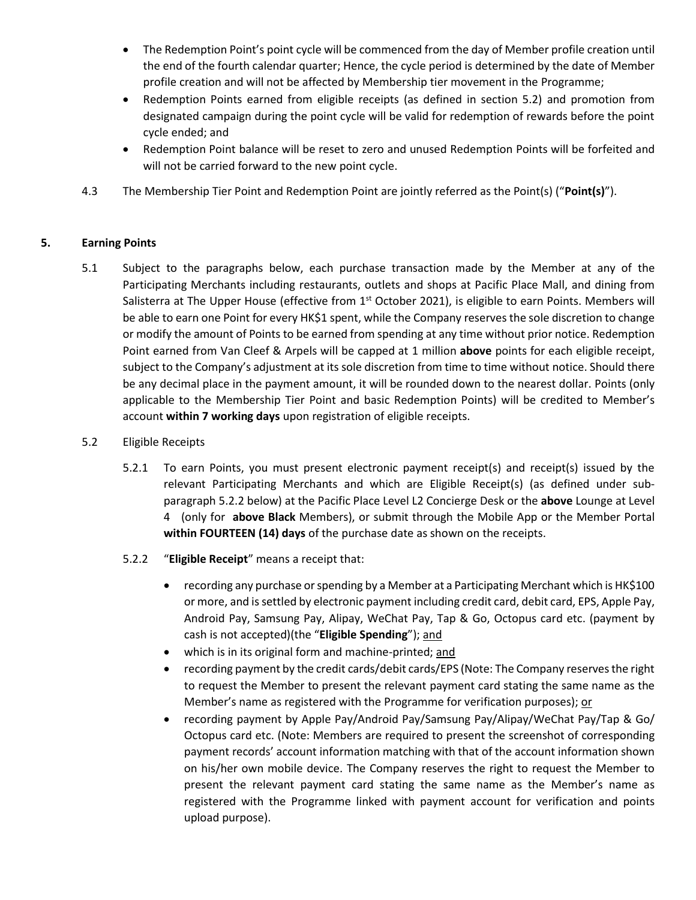- The Redemption Point's point cycle will be commenced from the day of Member profile creation until the end of the fourth calendar quarter; Hence, the cycle period is determined by the date of Member profile creation and will not be affected by Membership tier movement in the Programme;
- Redemption Points earned from eligible receipts (as defined in section 5.2) and promotion from designated campaign during the point cycle will be valid for redemption of rewards before the point cycle ended; and
- Redemption Point balance will be reset to zero and unused Redemption Points will be forfeited and will not be carried forward to the new point cycle.
- 4.3 The Membership Tier Point and Redemption Point are jointly referred as the Point(s) ("**Point(s)**").

## **5. Earning Points**

- 5.1 Subject to the paragraphs below, each purchase transaction made by the Member at any of the Participating Merchants including restaurants, outlets and shops at Pacific Place Mall, and dining from Salisterra at The Upper House (effective from  $1<sup>st</sup>$  October 2021), is eligible to earn Points. Members will be able to earn one Point for every HK\$1 spent, while the Company reserves the sole discretion to change or modify the amount of Points to be earned from spending at any time without prior notice. Redemption Point earned from Van Cleef & Arpels will be capped at 1 million **above** points for each eligible receipt, subject to the Company's adjustment at its sole discretion from time to time without notice. Should there be any decimal place in the payment amount, it will be rounded down to the nearest dollar. Points (only applicable to the Membership Tier Point and basic Redemption Points) will be credited to Member's account **within 7 working days** upon registration of eligible receipts.
- 5.2 Eligible Receipts
	- 5.2.1 To earn Points, you must present electronic payment receipt(s) and receipt(s) issued by the relevant Participating Merchants and which are Eligible Receipt(s) (as defined under subparagraph 5.2.2 below) at the Pacific Place Level L2 Concierge Desk or the **above** Lounge at Level 4 (only for **above Black** Members), or submit through the Mobile App or the Member Portal **within FOURTEEN (14) days** of the purchase date as shown on the receipts.
	- 5.2.2 "**Eligible Receipt**" means a receipt that:
		- recording any purchase or spending by a Member at a Participating Merchant which is HK\$100 or more, and is settled by electronic payment including credit card, debit card, EPS, Apple Pay, Android Pay, Samsung Pay, Alipay, WeChat Pay, Tap & Go, Octopus card etc. (payment by cash is not accepted)(the "**Eligible Spending**"); and
		- which is in its original form and machine-printed; and
		- recording payment by the credit cards/debit cards/EPS (Note: The Company reserves the right to request the Member to present the relevant payment card stating the same name as the Member's name as registered with the Programme for verification purposes); or
		- recording payment by Apple Pay/Android Pay/Samsung Pay/Alipay/WeChat Pay/Tap & Go/ Octopus card etc. (Note: Members are required to present the screenshot of corresponding payment records' account information matching with that of the account information shown on his/her own mobile device. The Company reserves the right to request the Member to present the relevant payment card stating the same name as the Member's name as registered with the Programme linked with payment account for verification and points upload purpose).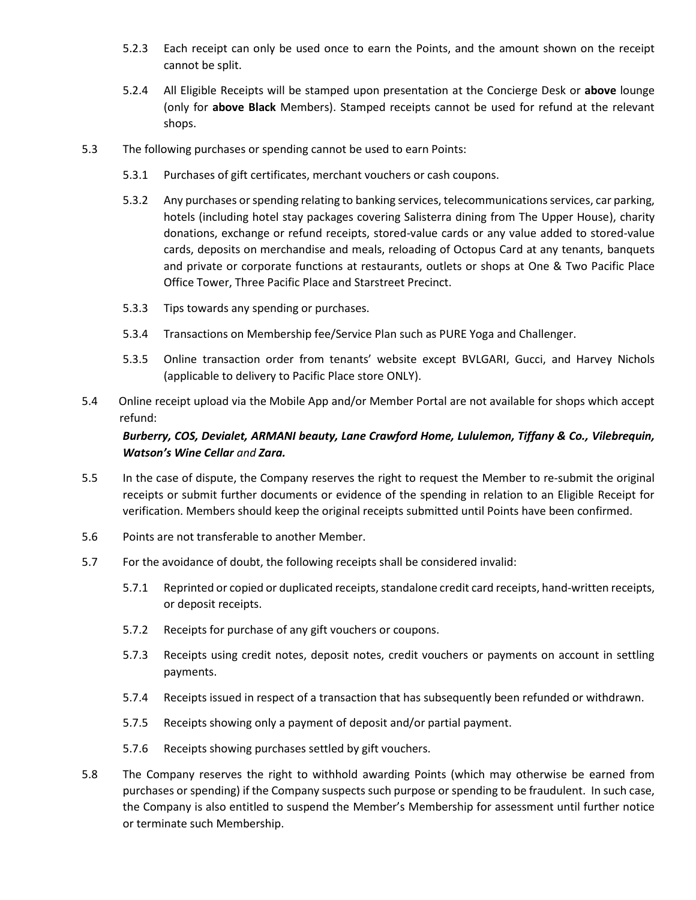- 5.2.3 Each receipt can only be used once to earn the Points, and the amount shown on the receipt cannot be split.
- 5.2.4 All Eligible Receipts will be stamped upon presentation at the Concierge Desk or **above** lounge (only for **above Black** Members). Stamped receipts cannot be used for refund at the relevant shops.
- 5.3 The following purchases or spending cannot be used to earn Points:
	- 5.3.1 Purchases of gift certificates, merchant vouchers or cash coupons.
	- 5.3.2 Any purchases or spending relating to banking services, telecommunications services, car parking, hotels (including hotel stay packages covering Salisterra dining from The Upper House), charity donations, exchange or refund receipts, stored-value cards or any value added to stored-value cards, deposits on merchandise and meals, reloading of Octopus Card at any tenants, banquets and private or corporate functions at restaurants, outlets or shops at One & Two Pacific Place Office Tower, Three Pacific Place and Starstreet Precinct.
	- 5.3.3 Tips towards any spending or purchases.
	- 5.3.4 Transactions on Membership fee/Service Plan such as PURE Yoga and Challenger.
	- 5.3.5 Online transaction order from tenants' website except BVLGARI, Gucci, and Harvey Nichols (applicable to delivery to Pacific Place store ONLY).
- 5.4 Online receipt upload via the Mobile App and/or Member Portal are not available for shops which accept refund:

# *Burberry, COS, Devialet, ARMANI beauty, Lane Crawford Home, Lululemon, Tiffany & Co., Vilebrequin, Watson's Wine Cellar and Zara.*

- 5.5 In the case of dispute, the Company reserves the right to request the Member to re-submit the original receipts or submit further documents or evidence of the spending in relation to an Eligible Receipt for verification. Members should keep the original receipts submitted until Points have been confirmed.
- 5.6 Points are not transferable to another Member.
- 5.7 For the avoidance of doubt, the following receipts shall be considered invalid:
	- 5.7.1 Reprinted or copied or duplicated receipts, standalone credit card receipts, hand-written receipts, or deposit receipts.
	- 5.7.2 Receipts for purchase of any gift vouchers or coupons.
	- 5.7.3 Receipts using credit notes, deposit notes, credit vouchers or payments on account in settling payments.
	- 5.7.4 Receipts issued in respect of a transaction that has subsequently been refunded or withdrawn.
	- 5.7.5 Receipts showing only a payment of deposit and/or partial payment.
	- 5.7.6 Receipts showing purchases settled by gift vouchers.
- 5.8 The Company reserves the right to withhold awarding Points (which may otherwise be earned from purchases or spending) if the Company suspects such purpose or spending to be fraudulent. In such case, the Company is also entitled to suspend the Member's Membership for assessment until further notice or terminate such Membership.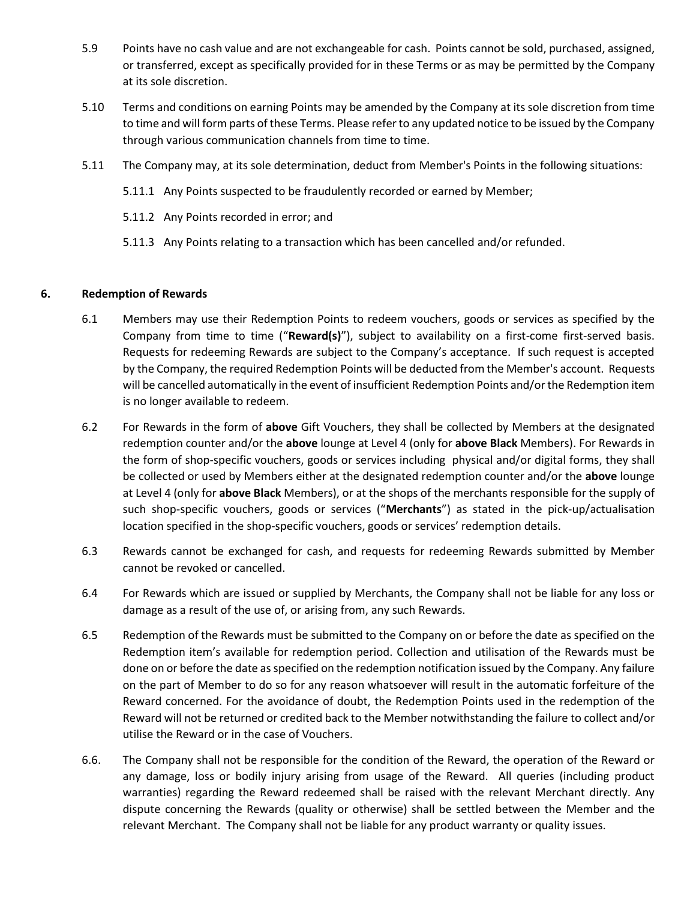- 5.9 Points have no cash value and are not exchangeable for cash. Points cannot be sold, purchased, assigned, or transferred, except as specifically provided for in these Terms or as may be permitted by the Company at its sole discretion.
- 5.10 Terms and conditions on earning Points may be amended by the Company at its sole discretion from time to time and will form parts of these Terms. Please refer to any updated notice to be issued by the Company through various communication channels from time to time.
- 5.11 The Company may, at its sole determination, deduct from Member's Points in the following situations:
	- 5.11.1 Any Points suspected to be fraudulently recorded or earned by Member;
	- 5.11.2 Any Points recorded in error; and
	- 5.11.3 Any Points relating to a transaction which has been cancelled and/or refunded.

#### **6. Redemption of Rewards**

- 6.1 Members may use their Redemption Points to redeem vouchers, goods or services as specified by the Company from time to time ("**Reward(s)**"), subject to availability on a first-come first-served basis. Requests for redeeming Rewards are subject to the Company's acceptance. If such request is accepted by the Company, the required Redemption Points will be deducted from the Member's account. Requests will be cancelled automatically in the event of insufficient Redemption Points and/or the Redemption item is no longer available to redeem.
- 6.2 For Rewards in the form of **above** Gift Vouchers, they shall be collected by Members at the designated redemption counter and/or the **above** lounge at Level 4 (only for **above Black** Members). For Rewards in the form of shop-specific vouchers, goods or services including physical and/or digital forms, they shall be collected or used by Members either at the designated redemption counter and/or the **above** lounge at Level 4 (only for **above Black** Members), or at the shops of the merchants responsible for the supply of such shop-specific vouchers, goods or services ("**Merchants**") as stated in the pick-up/actualisation location specified in the shop-specific vouchers, goods or services' redemption details.
- 6.3 Rewards cannot be exchanged for cash, and requests for redeeming Rewards submitted by Member cannot be revoked or cancelled.
- 6.4 For Rewards which are issued or supplied by Merchants, the Company shall not be liable for any loss or damage as a result of the use of, or arising from, any such Rewards.
- 6.5 Redemption of the Rewards must be submitted to the Company on or before the date as specified on the Redemption item's available for redemption period. Collection and utilisation of the Rewards must be done on or before the date as specified on the redemption notification issued by the Company. Any failure on the part of Member to do so for any reason whatsoever will result in the automatic forfeiture of the Reward concerned. For the avoidance of doubt, the Redemption Points used in the redemption of the Reward will not be returned or credited back to the Member notwithstanding the failure to collect and/or utilise the Reward or in the case of Vouchers.
- 6.6. The Company shall not be responsible for the condition of the Reward, the operation of the Reward or any damage, loss or bodily injury arising from usage of the Reward. All queries (including product warranties) regarding the Reward redeemed shall be raised with the relevant Merchant directly. Any dispute concerning the Rewards (quality or otherwise) shall be settled between the Member and the relevant Merchant. The Company shall not be liable for any product warranty or quality issues.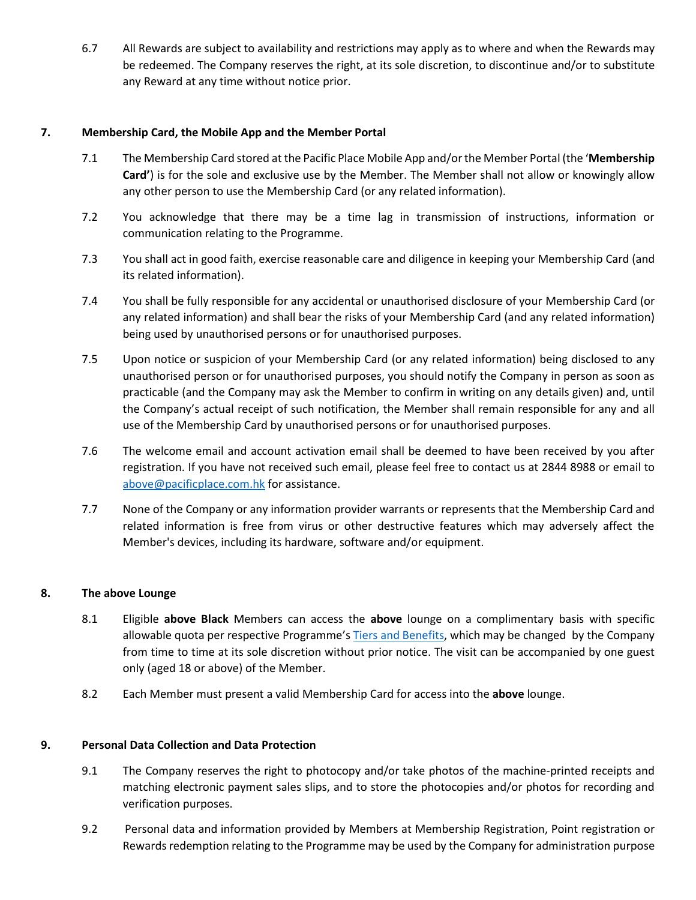6.7 All Rewards are subject to availability and restrictions may apply as to where and when the Rewards may be redeemed. The Company reserves the right, at its sole discretion, to discontinue and/or to substitute any Reward at any time without notice prior.

#### **7. Membership Card, the Mobile App and the Member Portal**

- 7.1 The Membership Card stored at the Pacific Place Mobile App and/or the Member Portal (the '**Membership Card'**) is for the sole and exclusive use by the Member. The Member shall not allow or knowingly allow any other person to use the Membership Card (or any related information).
- 7.2 You acknowledge that there may be a time lag in transmission of instructions, information or communication relating to the Programme.
- 7.3 You shall act in good faith, exercise reasonable care and diligence in keeping your Membership Card (and its related information).
- 7.4 You shall be fully responsible for any accidental or unauthorised disclosure of your Membership Card (or any related information) and shall bear the risks of your Membership Card (and any related information) being used by unauthorised persons or for unauthorised purposes.
- 7.5 Upon notice or suspicion of your Membership Card (or any related information) being disclosed to any unauthorised person or for unauthorised purposes, you should notify the Company in person as soon as practicable (and the Company may ask the Member to confirm in writing on any details given) and, until the Company's actual receipt of such notification, the Member shall remain responsible for any and all use of the Membership Card by unauthorised persons or for unauthorised purposes.
- 7.6 The welcome email and account activation email shall be deemed to have been received by you after registration. If you have not received such email, please feel free to contact us at 2844 8988 or email to [above@pacificplace.com.hk](mailto:above@pacificplace.com.hk) for assistance.
- 7.7 None of the Company or any information provider warrants or represents that the Membership Card and related information is free from virus or other destructive features which may adversely affect the Member's devices, including its hardware, software and/or equipment.

#### **8. The above Lounge**

- 8.1 Eligible **above Black** Members can access the **above** lounge on a complimentary basis with specific allowable quota per respective Programme's [Tiers and Benefits,](https://www.pacificplace.com.hk/en/above/tiersandbenefits) which may be changed by the Company from time to time at its sole discretion without prior notice. The visit can be accompanied by one guest only (aged 18 or above) of the Member.
- 8.2 Each Member must present a valid Membership Card for access into the **above** lounge.

#### **9. Personal Data Collection and Data Protection**

- 9.1 The Company reserves the right to photocopy and/or take photos of the machine-printed receipts and matching electronic payment sales slips, and to store the photocopies and/or photos for recording and verification purposes.
- 9.2 Personal data and information provided by Members at Membership Registration, Point registration or Rewards redemption relating to the Programme may be used by the Company for administration purpose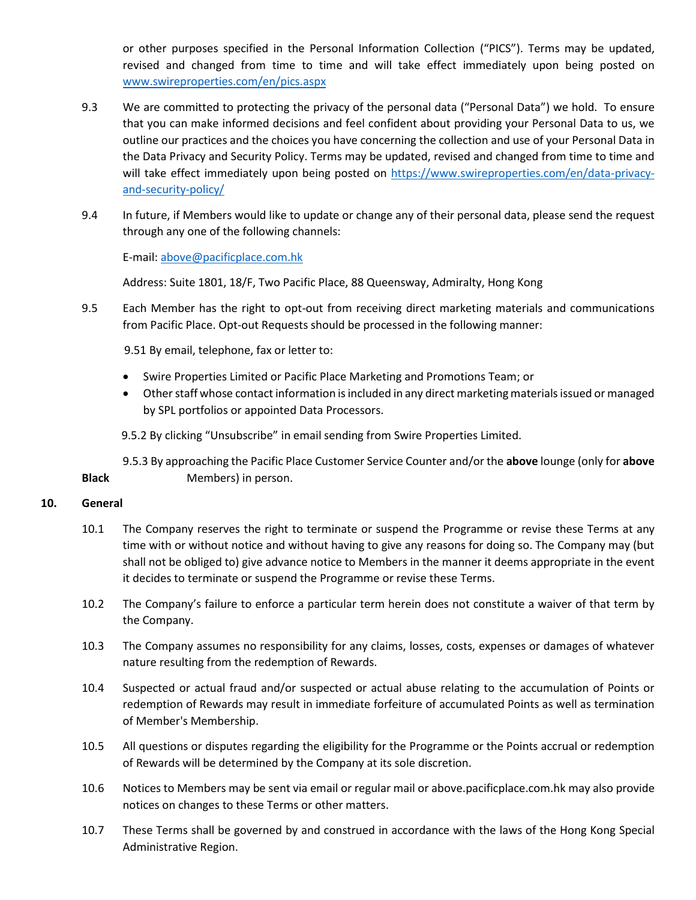or other purposes specified in the Personal Information Collection ("PICS"). Terms may be updated, revised and changed from time to time and will take effect immediately upon being posted on [www.swireproperties.com/en/pics.aspx](http://www.swireproperties.com/en/pics.aspx)

- 9.3 We are committed to protecting the privacy of the personal data ("Personal Data") we hold. To ensure that you can make informed decisions and feel confident about providing your Personal Data to us, we outline our practices and the choices you have concerning the collection and use of your Personal Data in the Data Privacy and Security Policy. Terms may be updated, revised and changed from time to time and will take effect immediately upon being posted on [https://www.swireproperties.com/en/data-privacy](https://www.swireproperties.com/en/data-privacy-and-security-policy/)[and-security-policy/](https://www.swireproperties.com/en/data-privacy-and-security-policy/)
- 9.4 In future, if Members would like to update or change any of their personal data, please send the request through any one of the following channels:

E-mail: [above@pacificplace.com.hk](mailto:above@pacificplace.com.hk) 

Address: Suite 1801, 18/F, Two Pacific Place, 88 Queensway, Admiralty, Hong Kong

9.5 Each Member has the right to opt-out from receiving direct marketing materials and communications from Pacific Place. Opt-out Requests should be processed in the following manner:

9.51 By email, telephone, fax or letter to:

- Swire Properties Limited or Pacific Place Marketing and Promotions Team; or
- Other staff whose contact information is included in any direct marketing materials issued or managed by SPL portfolios or appointed Data Processors.

9.5.2 By clicking "Unsubscribe" in email sending from Swire Properties Limited.

9.5.3 By approaching the Pacific Place Customer Service Counter and/or the **above** lounge (only for **above Black** Members) in person.

#### **10. General**

- 10.1 The Company reserves the right to terminate or suspend the Programme or revise these Terms at any time with or without notice and without having to give any reasons for doing so. The Company may (but shall not be obliged to) give advance notice to Members in the manner it deems appropriate in the event it decides to terminate or suspend the Programme or revise these Terms.
- 10.2 The Company's failure to enforce a particular term herein does not constitute a waiver of that term by the Company.
- 10.3 The Company assumes no responsibility for any claims, losses, costs, expenses or damages of whatever nature resulting from the redemption of Rewards.
- 10.4 Suspected or actual fraud and/or suspected or actual abuse relating to the accumulation of Points or redemption of Rewards may result in immediate forfeiture of accumulated Points as well as termination of Member's Membership.
- 10.5 All questions or disputes regarding the eligibility for the Programme or the Points accrual or redemption of Rewards will be determined by the Company at its sole discretion.
- 10.6 Notices to Members may be sent via email or regular mail or above.pacificplace.com.hk may also provide notices on changes to these Terms or other matters.
- 10.7 These Terms shall be governed by and construed in accordance with the laws of the Hong Kong Special Administrative Region.